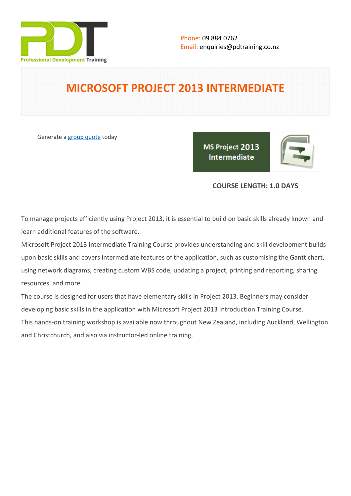

# **MICROSOFT PROJECT 2013 INTERMEDIATE**

Generate a [group quote](https://pdtraining.co.nz/inhouse-training-quote?cse=PDT991CC) today

MS Project 2013 Intermediate

# **COURSE LENGTH: 1.0 DAYS**

To manage projects efficiently using Project 2013, it is essential to build on basic skills already known and learn additional features of the software.

Microsoft Project 2013 Intermediate Training Course provides understanding and skill development builds upon basic skills and covers intermediate features of the application, such as customising the Gantt chart, using network diagrams, creating custom WBS code, updating a project, printing and reporting, sharing resources, and more.

The course is designed for users that have elementary skills in Project 2013. Beginners may consider developing basic skills in the application with [Microsoft Project 2013 Introduction Training Course.](https://pdtraining.co.nz/courses/microsoft-project-2013-introduction-course) This hands-on training workshop is available now throughout New Zealand, including Auckland, Wellington and Christchurch, and also via instructor-led online training.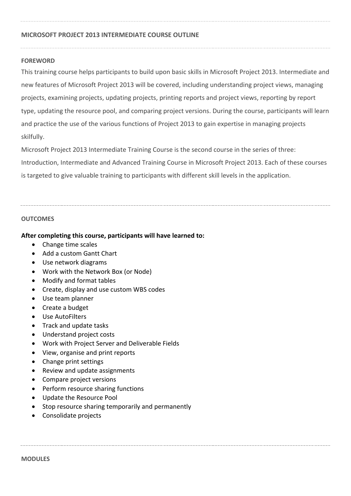### **MICROSOFT PROJECT 2013 INTERMEDIATE COURSE OUTLINE**

#### **FOREWORD**

This training course helps participants to build upon basic skills in Microsoft Project 2013. Intermediate and new features of Microsoft Project 2013 will be covered, including understanding project views, managing projects, examining projects, updating projects, printing reports and project views, reporting by report type, updating the resource pool, and comparing project versions. During the course, participants will learn and practice the use of the various functions of Project 2013 to gain expertise in managing projects skilfully.

Microsoft Project 2013 Intermediate Training Course is the second course in the series of three: Introduction, Intermediate and Advanced Training Course in Microsoft Project 2013. Each of these courses is targeted to give valuable training to participants with different skill levels in the application.

#### **OUTCOMES**

#### **After completing this course, participants will have learned to:**

- Change time scales
- Add a custom Gantt Chart
- Use network diagrams
- Work with the Network Box (or Node)
- Modify and format tables
- Create, display and use custom WBS codes
- Use team planner
- Create a budget
- Use AutoFilters
- Track and update tasks
- Understand project costs
- Work with Project Server and Deliverable Fields
- View, organise and print reports
- Change print settings
- Review and update assignments
- Compare project versions
- Perform resource sharing functions
- Update the Resource Pool
- Stop resource sharing temporarily and permanently
- Consolidate projects